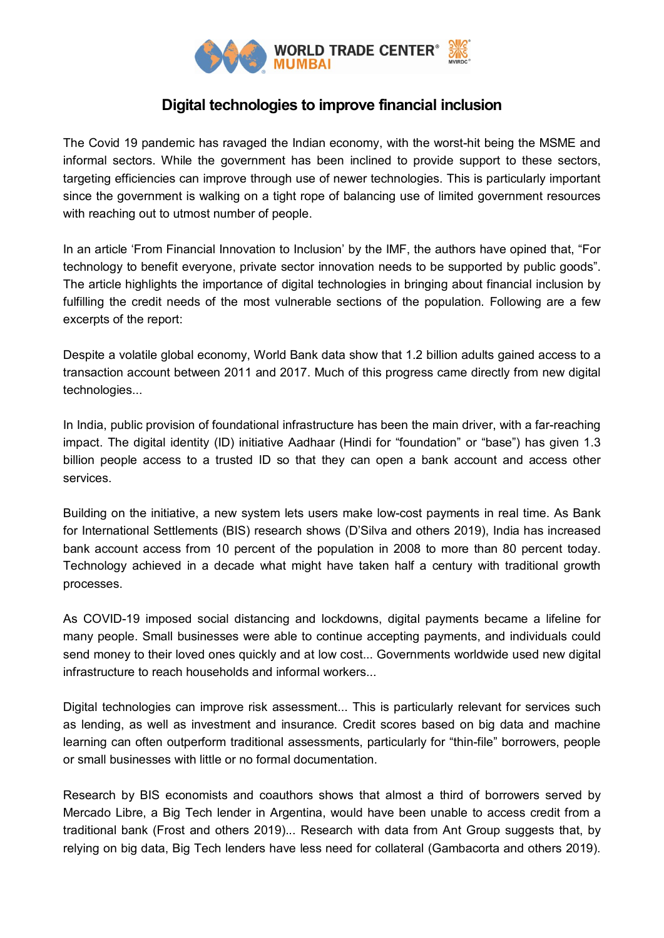

## **Digital technologies to improve financial inclusion**

The Covid 19 pandemic has ravaged the Indian economy, with the worst-hit being the MSME and informal sectors. While the government has been inclined to provide support to these sectors, targeting efficiencies can improve through use of newer technologies. This is particularly important since the government is walking on a tight rope of balancing use of limited government resources with reaching out to utmost number of people.

In an article 'From Financial Innovation to Inclusion' by the IMF, the authors have opined that, "For technology to benefit everyone, private sector innovation needs to be supported by public goods". The article highlights the importance of digital technologies in bringing about financial inclusion by fulfilling the credit needs of the most vulnerable sections of the population. Following are a few excerpts of the report:

Despite a volatile global economy, World Bank data show that 1.2 billion adults gained access to a transaction account between 2011 and 2017. Much of this progress came directly from new digital technologies...

In India, public provision of foundational infrastructure has been the main driver, with a far-reaching impact. The digital identity (ID) initiative Aadhaar (Hindi for "foundation" or "base") has given 1.3 billion people access to a trusted ID so that they can open a bank account and access other services.

Building on the initiative, a new system lets users make low-cost payments in real time. As Bank for International Settlements (BIS) research shows (D'Silva and others 2019), India has increased bank account access from 10 percent of the population in 2008 to more than 80 percent today. Technology achieved in a decade what might have taken half a century with traditional growth processes.

As COVID-19 imposed social distancing and lockdowns, digital payments became a lifeline for many people. Small businesses were able to continue accepting payments, and individuals could send money to their loved ones quickly and at low cost... Governments worldwide used new digital infrastructure to reach households and informal workers...

Digital technologies can improve risk assessment... This is particularly relevant for services such as lending, as well as investment and insurance. Credit scores based on big data and machine learning can often outperform traditional assessments, particularly for "thin-file" borrowers, people or small businesses with little or no formal documentation.

Research by BIS economists and coauthors shows that almost a third of borrowers served by Mercado Libre, a Big Tech lender in Argentina, would have been unable to access credit from a traditional bank (Frost and others 2019)... Research with data from Ant Group suggests that, by relying on big data, Big Tech lenders have less need for collateral (Gambacorta and others 2019).